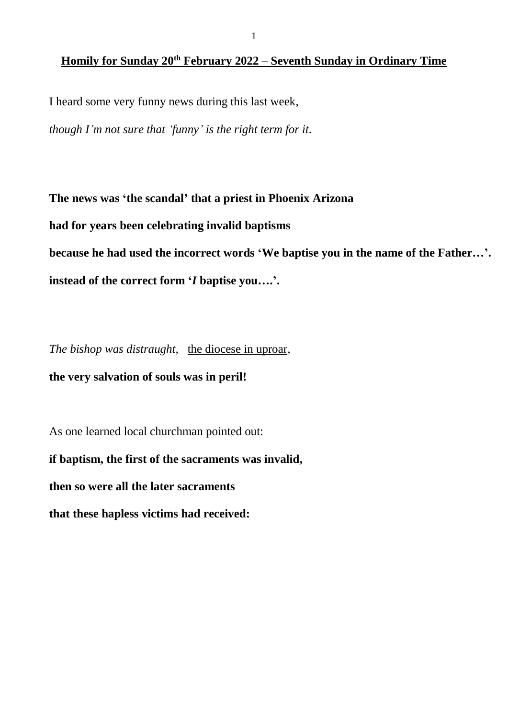# **Homily for Sunday 20th February 2022 – Seventh Sunday in Ordinary Time**

I heard some very funny news during this last week,

*though I'm not sure that 'funny' is the right term for it.*

**The news was 'the scandal' that a priest in Phoenix Arizona**

**had for years been celebrating invalid baptisms**

**because he had used the incorrect words 'We baptise you in the name of the Father…'.**

**instead of the correct form '***I* **baptise you….'.**

*The bishop was distraught,* the diocese in uproar*,*

**the very salvation of souls was in peril!**

As one learned local churchman pointed out:

**if baptism, the first of the sacraments was invalid,**

**then so were all the later sacraments**

**that these hapless victims had received:**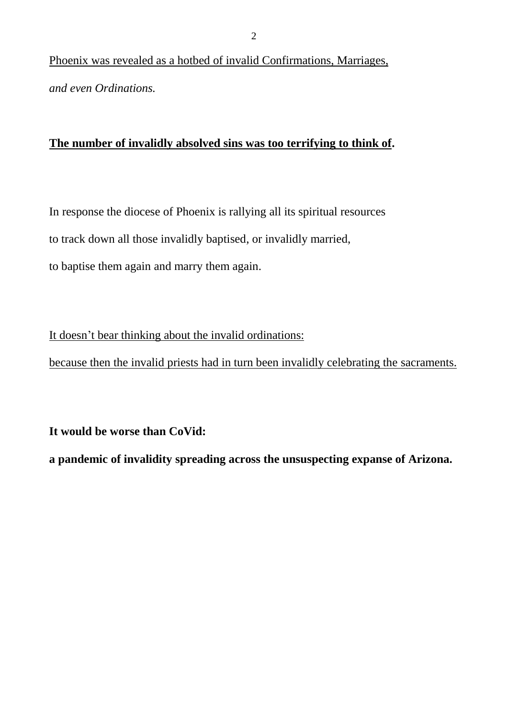Phoenix was revealed as a hotbed of invalid Confirmations, Marriages, *and even Ordinations.*

## **The number of invalidly absolved sins was too terrifying to think of.**

In response the diocese of Phoenix is rallying all its spiritual resources to track down all those invalidly baptised, or invalidly married,

to baptise them again and marry them again.

It doesn't bear thinking about the invalid ordinations:

because then the invalid priests had in turn been invalidly celebrating the sacraments.

**It would be worse than CoVid:**

**a pandemic of invalidity spreading across the unsuspecting expanse of Arizona.**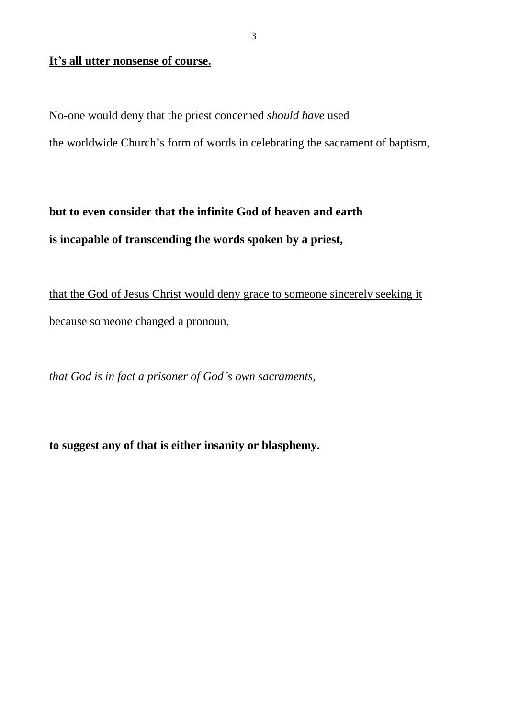#### **It's all utter nonsense of course.**

No-one would deny that the priest concerned *should have* used

the worldwide Church's form of words in celebrating the sacrament of baptism,

**but to even consider that the infinite God of heaven and earth is incapable of transcending the words spoken by a priest,**

that the God of Jesus Christ would deny grace to someone sincerely seeking it because someone changed a pronoun,

*that God is in fact a prisoner of God's own sacraments,*

**to suggest any of that is either insanity or blasphemy.**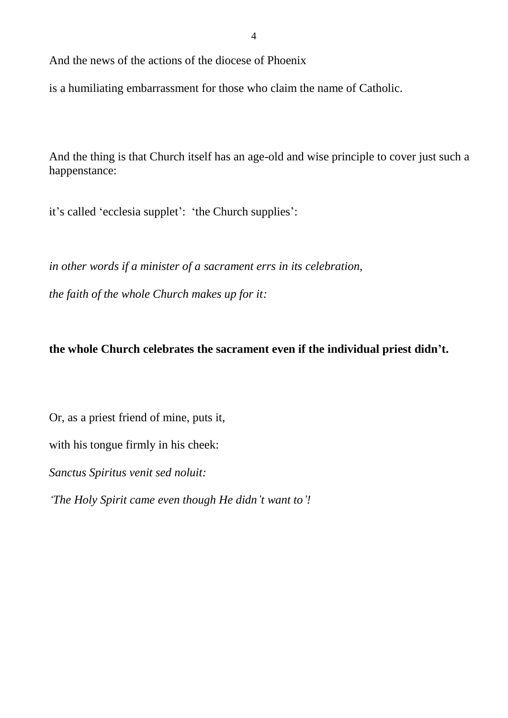And the news of the actions of the diocese of Phoenix

is a humiliating embarrassment for those who claim the name of Catholic.

And the thing is that Church itself has an age-old and wise principle to cover just such a happenstance:

it's called 'ecclesia supplet': 'the Church supplies':

*in other words if a minister of a sacrament errs in its celebration, the faith of the whole Church makes up for it:*

# **the whole Church celebrates the sacrament even if the individual priest didn't.**

Or, as a priest friend of mine, puts it,

with his tongue firmly in his cheek:

*Sanctus Spiritus venit sed noluit:*

*'The Holy Spirit came even though He didn't want to'!*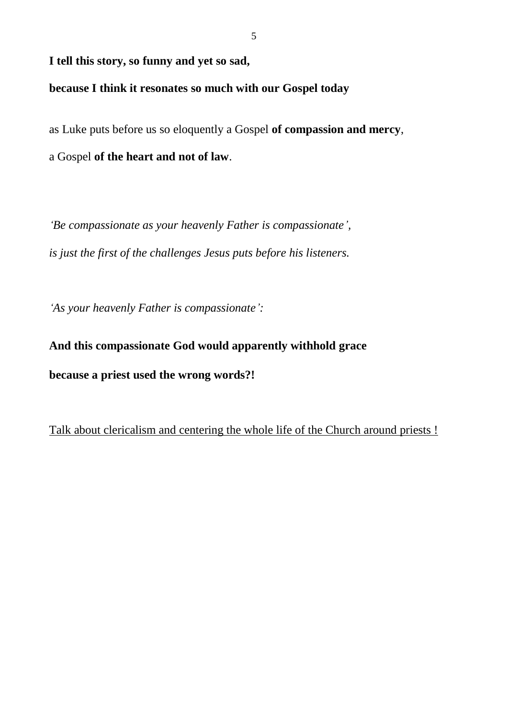#### **I tell this story, so funny and yet so sad,**

## **because I think it resonates so much with our Gospel today**

as Luke puts before us so eloquently a Gospel **of compassion and mercy**,

a Gospel **of the heart and not of law**.

*'Be compassionate as your heavenly Father is compassionate', is just the first of the challenges Jesus puts before his listeners.*

*'As your heavenly Father is compassionate':*

**And this compassionate God would apparently withhold grace because a priest used the wrong words?!**

Talk about clericalism and centering the whole life of the Church around priests !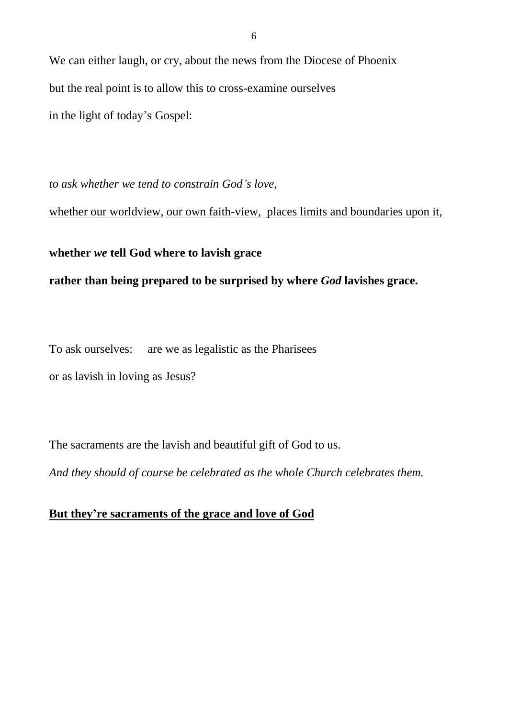We can either laugh, or cry, about the news from the Diocese of Phoenix but the real point is to allow this to cross-examine ourselves in the light of today's Gospel:

*to ask whether we tend to constrain God's love,*

whether our worldview, our own faith-view, places limits and boundaries upon it,

### **whether** *we* **tell God where to lavish grace**

### **rather than being prepared to be surprised by where** *God* **lavishes grace.**

To ask ourselves: are we as legalistic as the Pharisees

or as lavish in loving as Jesus?

The sacraments are the lavish and beautiful gift of God to us.

*And they should of course be celebrated as the whole Church celebrates them.*

# **But they're sacraments of the grace and love of God**